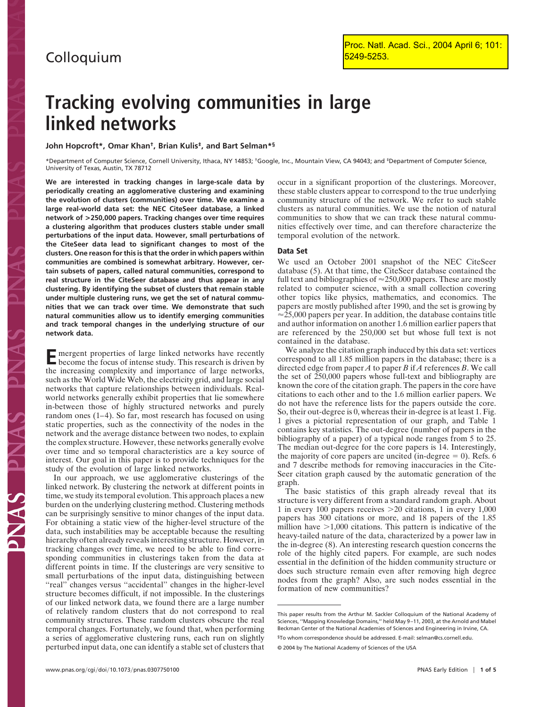# **Colloquium**

# **Tracking evolving communities in large linked networks**

# **John Hopcroft\*, Omar Khan†, Brian Kulis‡, and Bart Selman\*§**

\*Department of Computer Science, Cornell University, Ithaca, NY 14853; †Google, Inc., Mountain View, CA 94043; and ‡Department of Computer Science, University of Texas, Austin, TX 78712

**We are interested in tracking changes in large-scale data by periodically creating an agglomerative clustering and examining the evolution of clusters (communities) over time. We examine a large real-world data set: the NEC CiteSeer database, a linked network of >250,000 papers. Tracking changes over time requires a clustering algorithm that produces clusters stable under small perturbations of the input data. However, small perturbations of the CiteSeer data lead to significant changes to most of the clusters. One reason for this is that the order in which papers within communities are combined is somewhat arbitrary. However, certain subsets of papers, called natural communities, correspond to real structure in the CiteSeer database and thus appear in any clustering. By identifying the subset of clusters that remain stable under multiple clustering runs, we get the set of natural communities that we can track over time. We demonstrate that such natural communities allow us to identify emerging communities and track temporal changes in the underlying structure of our network data.**

**E** mergent properties of large linked networks have recently become the focus of intense study. This research is driven by the increasing complexity and importance of large networks, such as the World Wide Web, the electricity grid, and large social networks that capture relationships between individuals. Realworld networks generally exhibit properties that lie somewhere in-between those of highly structured networks and purely random ones (1–4). So far, most research has focused on using static properties, such as the connectivity of the nodes in the network and the average distance between two nodes, to explain the complex structure. However, these networks generally evolve over time and so temporal characteristics are a key source of interest. Our goal in this paper is to provide techniques for the study of the evolution of large linked networks.

In our approach, we use agglomerative clusterings of the linked network. By clustering the network at different points in time, we study its temporal evolution. This approach places a new burden on the underlying clustering method. Clustering methods can be surprisingly sensitive to minor changes of the input data. For obtaining a static view of the higher-level structure of the data, such instabilities may be acceptable because the resulting hierarchy often already reveals interesting structure. However, in tracking changes over time, we need to be able to find corresponding communities in clusterings taken from the data at different points in time. If the clusterings are very sensitive to small perturbations of the input data, distinguishing between "real" changes versus "accidental" changes in the higher-level structure becomes difficult, if not impossible. In the clusterings of our linked network data, we found there are a large number of relatively random clusters that do not correspond to real community structures. These random clusters obscure the real temporal changes. Fortunately, we found that, when performing a series of agglomerative clustering runs, each run on slightly perturbed input data, one can identify a stable set of clusters that

occur in a significant proportion of the clusterings. Moreover, these stable clusters appear to correspond to the true underlying community structure of the network. We refer to such stable clusters as natural communities. We use the notion of natural communities to show that we can track these natural communities effectively over time, and can therefore characterize the temporal evolution of the network.

# **Data Set**

We used an October 2001 snapshot of the NEC CiteSeer database (5). At that time, the CiteSeer database contained the full text and bibliographies of  $\approx$  250,000 papers. These are mostly related to computer science, with a small collection covering other topics like physics, mathematics, and economics. The papers are mostly published after 1990, and the set is growing by  $\approx$  25,000 papers per year. In addition, the database contains title and author information on another 1.6 million earlier papers that are referenced by the 250,000 set but whose full text is not contained in the database.

We analyze the citation graph induced by this data set: vertices correspond to all 1.85 million papers in the database; there is a directed edge from paper *A* to paper *B* if *A* references *B*. We call the set of 250,000 papers whose full-text and bibliography are known the core of the citation graph. The papers in the core have citations to each other and to the 1.6 million earlier papers. We do not have the reference lists for the papers outside the core. So, their out-degree is 0, whereas their in-degree is at least 1. Fig. 1 gives a pictorial representation of our graph, and Table 1 contains key statistics. The out-degree (number of papers in the bibliography of a paper) of a typical node ranges from 5 to 25. The median out-degree for the core papers is 14. Interestingly, the majority of core papers are uncited (in-degree  $= 0$ ). Refs. 6 and 7 describe methods for removing inaccuracies in the Cite-Seer citation graph caused by the automatic generation of the graph.

The basic statistics of this graph already reveal that its structure is very different from a standard random graph. About 1 in every 100 papers receives 20 citations, 1 in every 1,000 papers has 300 citations or more, and 18 papers of the 1.85 million have  $>1,000$  citations. This pattern is indicative of the heavy-tailed nature of the data, characterized by a power law in the in-degree (8). An interesting research question concerns the role of the highly cited papers. For example, are such nodes essential in the definition of the hidden community structure or does such structure remain even after removing high degree nodes from the graph? Also, are such nodes essential in the formation of new communities?

This paper results from the Arthur M. Sackler Colloquium of the National Academy of Sciences, ''Mapping Knowledge Domains,'' held May 9–11, 2003, at the Arnold and Mabel Beckman Center of the National Academies of Sciences and Engineering in Irvine, CA.

<sup>§</sup>To whom correspondence should be addressed. E-mail: selman@cs.cornell.edu.

<sup>© 2004</sup> by The National Academy of Sciences of the USA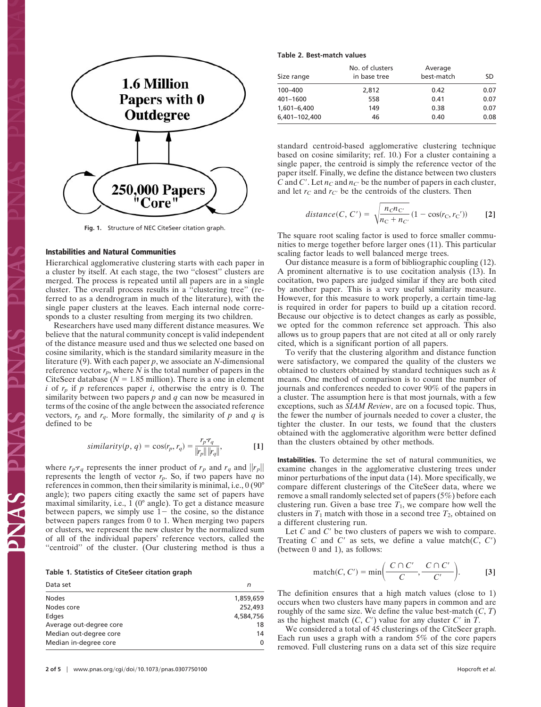

**Fig. 1.** Structure of NEC CiteSeer citation graph.

# **Instabilities and Natural Communities**

Hierarchical agglomerative clustering starts with each paper in a cluster by itself. At each stage, the two ''closest'' clusters are merged. The process is repeated until all papers are in a single cluster. The overall process results in a ''clustering tree'' (referred to as a dendrogram in much of the literature), with the single paper clusters at the leaves. Each internal node corresponds to a cluster resulting from merging its two children.

Researchers have used many different distance measures. We believe that the natural community concept is valid independent of the distance measure used and thus we selected one based on cosine similarity, which is the standard similarity measure in the literature (9). With each paper *p*, we associate an *N*-dimensional reference vector  $r_p$ , where  $N$  is the total number of papers in the CiteSeer database ( $N = 1.85$  million). There is a one in element *i* of *rp* if *p* references paper *i*, otherwise the entry is 0. The similarity between two papers *p* and *q* can now be measured in terms of the cosine of the angle between the associated reference vectors,  $r_p$  and  $r_q$ . More formally, the similarity of p and q is defined to be

$$
similarity(p, q) = \cos(r_p, r_q) = \frac{r_p \cdot r_q}{\|r_p\| \|r_q\|},
$$
 [1]

where  $r_p \cdot r_q$  represents the inner product of  $r_p$  and  $r_q$  and  $||r_p||$ represents the length of vector *rp*. So, if two papers have no references in common, then their similarity is minimal, i.e., 0 (90° angle); two papers citing exactly the same set of papers have maximal similarity, i.e., 1 (0° angle). To get a distance measure between papers, we simply use  $1 -$  the cosine, so the distance between papers ranges from 0 to 1. When merging two papers or clusters, we represent the new cluster by the normalized sum of all of the individual papers' reference vectors, called the "centroid" of the cluster. (Our clustering method is thus a

### **Table 1. Statistics of CiteSeer citation graph**

| Data set                | n         |
|-------------------------|-----------|
| <b>Nodes</b>            | 1,859,659 |
| Nodes core              | 252,493   |
| Edges                   | 4,584,756 |
| Average out-degree core | 18        |
| Median out-degree core  | 14        |
| Median in-degree core   | 0         |

#### **Table 2. Best-match values**

| Size range    | No. of clusters<br>in base tree | Average<br>best-match | SD   |
|---------------|---------------------------------|-----------------------|------|
| 100-400       | 2,812                           | 0.42                  | 0.07 |
| 401-1600      | 558                             | 0.41                  | 0.07 |
| 1,601-6,400   | 149                             | 0.38                  | 0.07 |
| 6,401-102,400 | 46                              | 0.40                  | 0.08 |

standard centroid-based agglomerative clustering technique based on cosine similarity; ref. 10.) For a cluster containing a single paper, the centroid is simply the reference vector of the paper itself. Finally, we define the distance between two clusters *C* and *C'*. Let  $n_c$  and  $n_{c}$  be the number of papers in each cluster, and let  $r_C$  and  $r_{C'}$  be the centroids of the clusters. Then

distance(C, C') = 
$$
\sqrt{\frac{n_C n_{C'}}{n_C + n_{C'}} (1 - \cos(r_C, r_C'))}
$$
 [2]

The square root scaling factor is used to force smaller communities to merge together before larger ones (11). This particular scaling factor leads to well balanced merge trees.

Our distance measure is a form of bibliographic coupling (12). A prominent alternative is to use cocitation analysis (13). In cocitation, two papers are judged similar if they are both cited by another paper. This is a very useful similarity measure. However, for this measure to work properly, a certain time-lag is required in order for papers to build up a citation record. Because our objective is to detect changes as early as possible, we opted for the common reference set approach. This also allows us to group papers that are not cited at all or only rarely cited, which is a significant portion of all papers.

To verify that the clustering algorithm and distance function were satisfactory, we compared the quality of the clusters we obtained to clusters obtained by standard techniques such as *k* means. One method of comparison is to count the number of journals and conferences needed to cover 90% of the papers in a cluster. The assumption here is that most journals, with a few exceptions, such as *SIAM Review*, are on a focused topic. Thus, the fewer the number of journals needed to cover a cluster, the tighter the cluster. In our tests, we found that the clusters obtained with the agglomerative algorithm were better defined than the clusters obtained by other methods.

**Instabilities.** To determine the set of natural communities, we examine changes in the agglomerative clustering trees under minor perturbations of the input data (14). More specifically, we compare different clusterings of the CiteSeer data, where we remove a small randomly selected set of papers (5%) before each clustering run. Given a base tree  $T_1$ , we compare how well the clusters in  $T_1$  match with those in a second tree  $T_2$ , obtained on a different clustering run.

Let *C* and *C'* be two clusters of papers we wish to compare. Treating *C* and *C'* as sets, we define a value match( $C$ ,  $C'$ ) (between 0 and 1), as follows:

$$
\text{match}(C, C') = \min\left(\frac{|C \cap C'|}{|C|}, \frac{|C \cap C'|}{|C'|}\right). \tag{3}
$$

The definition ensures that a high match values (close to 1) occurs when two clusters have many papers in common and are roughly of the same size. We define the value best-match (*C*, *T*) as the highest match  $(C, C')$  value for any cluster  $C'$  in  $T$ .

We considered a total of 45 clusterings of the CiteSeer graph. Each run uses a graph with a random 5% of the core papers removed. Full clustering runs on a data set of this size require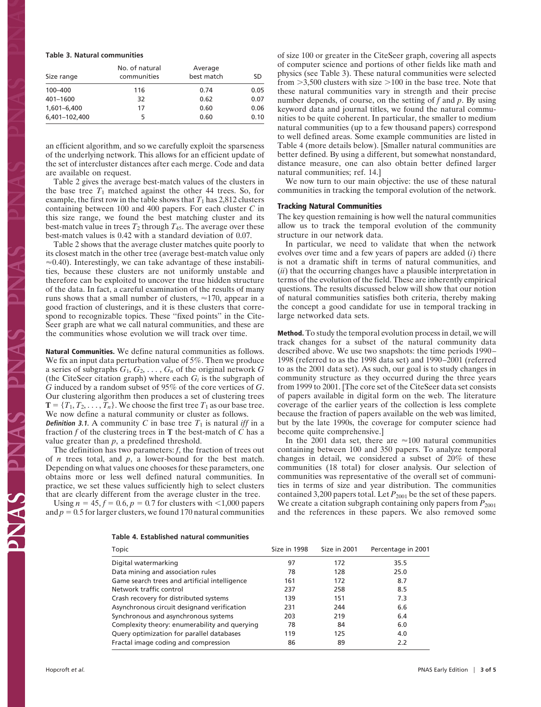#### **Table 3. Natural communities**

| Size range    | No. of natural<br>communities | Average<br>best match | SD   |
|---------------|-------------------------------|-----------------------|------|
| 100-400       | 116                           | 0.74                  | 0.05 |
| 401-1600      | 32                            | 0.62                  | 0.07 |
| 1,601-6,400   | 17                            | 0.60                  | 0.06 |
| 6.401-102.400 | 5                             | 0.60                  | 0.10 |

an efficient algorithm, and so we carefully exploit the sparseness of the underlying network. This allows for an efficient update of the set of intercluster distances after each merge. Code and data are available on request.

Table 2 gives the average best-match values of the clusters in the base tree  $T_1$  matched against the other 44 trees. So, for example, the first row in the table shows that  $T_1$  has 2,812 clusters containing between 100 and 400 papers. For each cluster *C* in this size range, we found the best matching cluster and its best-match value in trees  $T_2$  through  $T_{45}$ . The average over these best-match values is 0.42 with a standard deviation of 0.07.

Table 2 shows that the average cluster matches quite poorly to its closest match in the other tree (average best-match value only  $\approx 0.40$ ). Interestingly, we can take advantage of these instabilities, because these clusters are not uniformly unstable and therefore can be exploited to uncover the true hidden structure of the data. In fact, a careful examination of the results of many runs shows that a small number of clusters,  $\approx$ 170, appear in a good fraction of clusterings, and it is these clusters that correspond to recognizable topics. These ''fixed points'' in the Cite-Seer graph are what we call natural communities, and these are the communities whose evolution we will track over time.

**Natural Communities.** We define natural communities as follows. We fix an input data perturbation value of 5%. Then we produce a series of subgraphs  $G_1, G_2, \ldots, G_n$  of the original network  $G$ (the CiteSeer citation graph) where each  $G_i$  is the subgraph of *G* induced by a random subset of 95% of the core vertices of *G*. Our clustering algorithm then produces a set of clustering trees  $\mathbf{T} = \{T_1, T_2, \ldots, T_n\}$ . We choose the first tree  $T_1$  as our base tree. We now define a natural community or cluster as follows.

**Definition 3.1.** A community *C* in base tree  $T_1$  is natural *iff* in a fraction *f* of the clustering trees in **T** the best-match of *C* has a value greater than *p*, a predefined threshold.

The definition has two parameters: *f*, the fraction of trees out of *n* trees total, and *p*, a lower-bound for the best match. Depending on what values one chooses for these parameters, one obtains more or less well defined natural communities. In practice, we set these values sufficiently high to select clusters that are clearly different from the average cluster in the tree.

Using  $n = 45$ ,  $f = 0.6$ ,  $p = 0.7$  for clusters with  $\leq 1,000$  papers and  $p = 0.5$  for larger clusters, we found 170 natural communities of size 100 or greater in the CiteSeer graph, covering all aspects of computer science and portions of other fields like math and physics (see Table 3). These natural communities were selected from  $>3,500$  clusters with size  $>100$  in the base tree. Note that these natural communities vary in strength and their precise number depends, of course, on the setting of *f* and *p*. By using keyword data and journal titles, we found the natural communities to be quite coherent. In particular, the smaller to medium natural communities (up to a few thousand papers) correspond to well defined areas. Some example communities are listed in Table 4 (more details below). [Smaller natural communities are better defined. By using a different, but somewhat nonstandard, distance measure, one can also obtain better defined larger natural communities; ref. 14.]

We now turn to our main objective: the use of these natural communities in tracking the temporal evolution of the network.

## **Tracking Natural Communities**

The key question remaining is how well the natural communities allow us to track the temporal evolution of the community structure in our network data.

In particular, we need to validate that when the network evolves over time and a few years of papers are added (*i*) there is not a dramatic shift in terms of natural communities, and (*ii*) that the occurring changes have a plausible interpretation in terms of the evolution of the field. These are inherently empirical questions. The results discussed below will show that our notion of natural communities satisfies both criteria, thereby making the concept a good candidate for use in temporal tracking in large networked data sets.

**Method.** To study the temporal evolution process in detail, we will track changes for a subset of the natural community data described above. We use two snapshots: the time periods 1990– 1998 (referred to as the 1998 data set) and 1990–2001 (referred to as the 2001 data set). As such, our goal is to study changes in community structure as they occurred during the three years from 1999 to 2001. [The core set of the CiteSeer data set consists of papers available in digital form on the web. The literature coverage of the earlier years of the collection is less complete because the fraction of papers available on the web was limited, but by the late 1990s, the coverage for computer science had become quite comprehensive.]

In the 2001 data set, there are  $\approx$  100 natural communities containing between 100 and 350 papers. To analyze temporal changes in detail, we considered a subset of 20% of these communities (18 total) for closer analysis. Our selection of communities was representative of the overall set of communities in terms of size and year distribution. The communities contained 3,200 papers total. Let  $P_{2001}$  be the set of these papers. We create a citation subgraph containing only papers from  $P_{2001}$ and the references in these papers. We also removed some

|  |  |  |  | Table 4. Established natural communities |
|--|--|--|--|------------------------------------------|
|--|--|--|--|------------------------------------------|

| Topic                                         | Size in 1998 | Size in 2001 | Percentage in 2001 |
|-----------------------------------------------|--------------|--------------|--------------------|
| Digital watermarking                          | 97           | 172          | 35.5               |
| Data mining and association rules             | 78           | 128          | 25.0               |
| Game search trees and artificial intelligence | 161          | 172          | 8.7                |
| Network traffic control                       | 237          | 258          | 8.5                |
| Crash recovery for distributed systems        | 139          | 151          | 7.3                |
| Asynchronous circuit designand verification   | 231          | 244          | 6.6                |
| Synchronous and asynchronous systems          | 203          | 219          | 6.4                |
| Complexity theory: enumerability and querying | 78           | 84           | 6.0                |
| Query optimization for parallel databases     | 119          | 125          | 4.0                |
| Fractal image coding and compression          | 86           | 89           | 2.2                |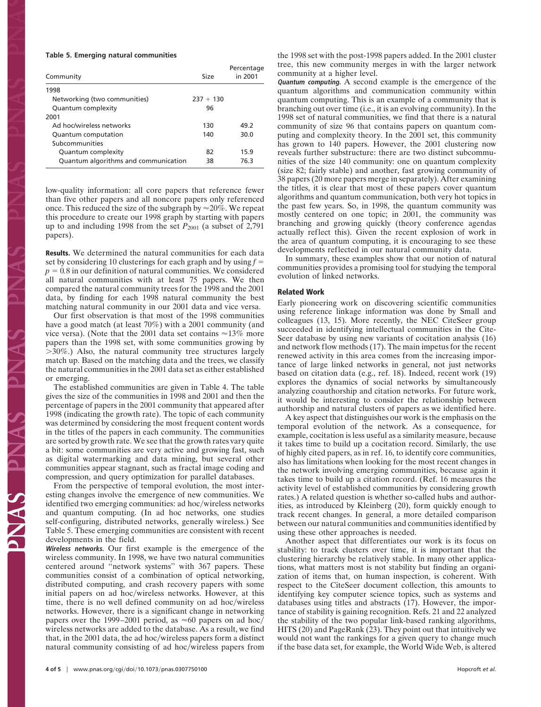#### **Table 5. Emerging natural communities**

| Community                            | Size        | Percentage<br>in 2001 |
|--------------------------------------|-------------|-----------------------|
| 1998                                 |             |                       |
| Networking (two communities)         | $737 + 130$ |                       |
| Quantum complexity                   | 96          |                       |
| 2001                                 |             |                       |
| Ad hoc/wireless networks             | 130         | 49.2                  |
| Quantum computation                  | 140         | 30.0                  |
| Subcommunities                       |             |                       |
| Quantum complexity                   | 82          | 15.9                  |
| Quantum algorithms and communication | 38          | 76.3                  |

low-quality information: all core papers that reference fewer than five other papers and all noncore papers only referenced once. This reduced the size of the subgraph by  $\approx 20\%$ . We repeat this procedure to create our 1998 graph by starting with papers up to and including 1998 from the set  $P_{2001}$  (a subset of 2,791 papers).

**Results.** We determined the natural communities for each data set by considering 10 clusterings for each graph and by using  $f =$  $p = 0.8$  in our definition of natural communities. We considered all natural communities with at least 75 papers. We then compared the natural community trees for the 1998 and the 2001 data, by finding for each 1998 natural community the best matching natural community in our 2001 data and vice versa.

Our first observation is that most of the 1998 communities have a good match (at least 70%) with a 2001 community (and vice versa). (Note that the 2001 data set contains  $\approx 13\%$  more papers than the 1998 set, with some communities growing by 30%.) Also, the natural community tree structures largely match up. Based on the matching data and the trees, we classify the natural communities in the 2001 data set as either established or emerging.

The established communities are given in Table 4. The table gives the size of the communities in 1998 and 2001 and then the percentage of papers in the 2001 community that appeared after 1998 (indicating the growth rate). The topic of each community was determined by considering the most frequent content words in the titles of the papers in each community. The communities are sorted by growth rate. We see that the growth rates vary quite a bit: some communities are very active and growing fast, such as digital watermarking and data mining, but several other communities appear stagnant, such as fractal image coding and compression, and query optimization for parallel databases.

From the perspective of temporal evolution, the most interesting changes involve the emergence of new communities. We identified two emerging communities: ad hoc/wireless networks and quantum computing. (In ad hoc networks, one studies self-configuring, distributed networks, generally wireless.) See Table 5. These emerging communities are consistent with recent developments in the field.

**Wireless networks.** Our first example is the emergence of the wireless community. In 1998, we have two natural communities centered around ''network systems'' with 367 papers. These communities consist of a combination of optical networking, distributed computing, and crash recovery papers with some initial papers on ad hoc/wireless networks. However, at this time, there is no well defined community on ad hoc/wireless networks. However, there is a significant change in networking papers over the 1999–2001 period, as  $\approx 60$  papers on ad hoc/ wireless networks are added to the database. As a result, we find that, in the 2001 data, the ad hoc/wireless papers form a distinct natural community consisting of ad hoc/wireless papers from

the 1998 set with the post-1998 papers added. In the 2001 cluster tree, this new community merges in with the larger network community at a higher level.

**Quantum computing.** A second example is the emergence of the quantum algorithms and communication community within quantum computing. This is an example of a community that is branching out over time (i.e., it is an evolving community). In the 1998 set of natural communities, we find that there is a natural community of size 96 that contains papers on quantum computing and complexity theory. In the 2001 set, this community has grown to 140 papers. However, the 2001 clustering now reveals further substructure: there are two distinct subcommunities of the size 140 community: one on quantum complexity (size 82; fairly stable) and another, fast growing community of 38 papers (20 more papers merge in separately). After examining the titles, it is clear that most of these papers cover quantum algorithms and quantum communication, both very hot topics in the past few years. So, in 1998, the quantum community was mostly centered on one topic; in 2001, the community was branching and growing quickly (theory conference agendas actually reflect this). Given the recent explosion of work in the area of quantum computing, it is encouraging to see these developments reflected in our natural community data.

In summary, these examples show that our notion of natural communities provides a promising tool for studying the temporal evolution of linked networks.

# **Related Work**

Early pioneering work on discovering scientific communities using reference linkage information was done by Small and colleagues (13, 15). More recently, the NEC CiteSeer group succeeded in identifying intellectual communities in the Cite-Seer database by using new variants of cocitation analysis (16) and network flow methods (17). The main impetus for the recent renewed activity in this area comes from the increasing importance of large linked networks in general, not just networks based on citation data (e.g., ref. 18). Indeed, recent work (19) explores the dynamics of social networks by simultaneously analyzing coauthorship and citation networks. For future work, it would be interesting to consider the relationship between authorship and natural clusters of papers as we identified here.

A key aspect that distinguishes our work is the emphasis on the temporal evolution of the network. As a consequence, for example, cocitation is less useful as a similarity measure, because it takes time to build up a cocitation record. Similarly, the use of highly cited papers, as in ref. 16, to identify core communities, also has limitations when looking for the most recent changes in the network involving emerging communities, because again it takes time to build up a citation record. (Ref. 16 measures the activity level of established communities by considering growth rates.) A related question is whether so-called hubs and authorities, as introduced by Kleinberg (20), form quickly enough to track recent changes. In general, a more detailed comparison between our natural communities and communities identified by using these other approaches is needed.

Another aspect that differentiates our work is its focus on stability: to track clusters over time, it is important that the clustering hierarchy be relatively stable. In many other applications, what matters most is not stability but finding an organization of items that, on human inspection, is coherent. With respect to the CiteSeer document collection, this amounts to identifying key computer science topics, such as systems and databases using titles and abstracts (17). However, the importance of stability is gaining recognition. Refs. 21 and 22 analyzed the stability of the two popular link-based ranking algorithms, HITS (20) and PageRank (23). They point out that intuitively we would not want the rankings for a given query to change much if the base data set, for example, the World Wide Web, is altered